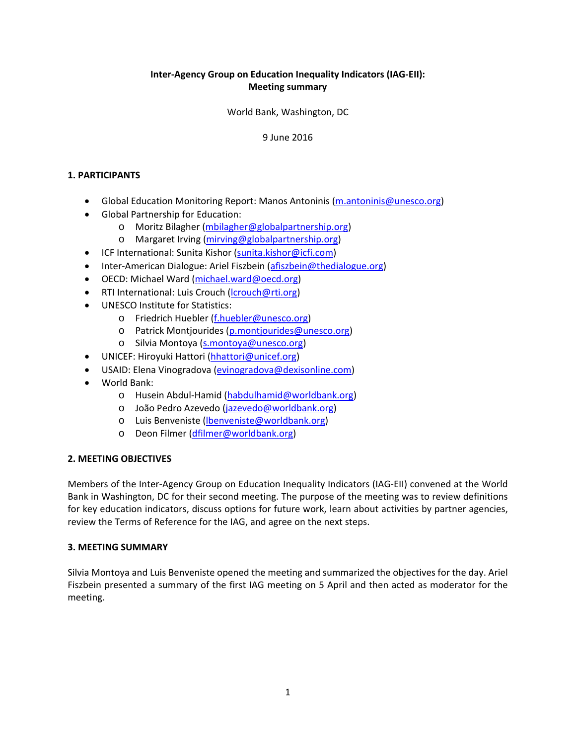# **Inter‐Agency Group on Education Inequality Indicators (IAG‐EII): Meeting summary**

World Bank, Washington, DC

# 9 June 2016

# **1. PARTICIPANTS**

- **Global Education Monitoring Report: Manos Antoninis (m.antoninis@unesco.org)**
- Global Partnership for Education:
	- o Moritz Bilagher (mbilagher@globalpartnership.org)
	- o Margaret Irving (mirving@globalpartnership.org)
- ICF International: Sunita Kishor (sunita.kishor@icfi.com)
- Inter-American Dialogue: Ariel Fiszbein (afiszbein@thedialogue.org)
- OECD: Michael Ward (michael.ward@oecd.org)
- RTI International: Luis Crouch (Icrouch@rti.org)
- UNESCO Institute for Statistics:
	- o Friedrich Huebler (f.huebler@unesco.org)
	- o Patrick Montjourides (p.montjourides@unesco.org)
	- o Silvia Montoya (s.montoya@unesco.org)
- UNICEF: Hiroyuki Hattori (hhattori@unicef.org)
- · USAID: Elena Vinogradova (evinogradova@dexisonline.com)
- World Bank:
	- o Husein Abdul‐Hamid (habdulhamid@worldbank.org)
	- o João Pedro Azevedo (jazevedo@worldbank.org)
	- o Luis Benveniste (lbenveniste@worldbank.org)
	- o Deon Filmer (dfilmer@worldbank.org)

# **2. MEETING OBJECTIVES**

Members of the Inter‐Agency Group on Education Inequality Indicators (IAG‐EII) convened at the World Bank in Washington, DC for their second meeting. The purpose of the meeting was to review definitions for key education indicators, discuss options for future work, learn about activities by partner agencies, review the Terms of Reference for the IAG, and agree on the next steps.

#### **3. MEETING SUMMARY**

Silvia Montoya and Luis Benveniste opened the meeting and summarized the objectives for the day. Ariel Fiszbein presented a summary of the first IAG meeting on 5 April and then acted as moderator for the meeting.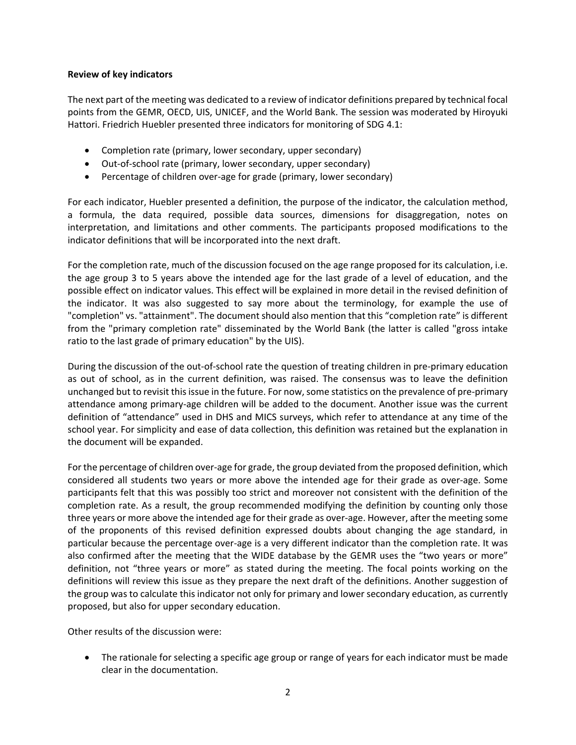# **Review of key indicators**

The next part of the meeting was dedicated to a review of indicator definitions prepared by technical focal points from the GEMR, OECD, UIS, UNICEF, and the World Bank. The session was moderated by Hiroyuki Hattori. Friedrich Huebler presented three indicators for monitoring of SDG 4.1:

- Completion rate (primary, lower secondary, upper secondary)
- Out-of-school rate (primary, lower secondary, upper secondary)
- Percentage of children over-age for grade (primary, lower secondary)

For each indicator, Huebler presented a definition, the purpose of the indicator, the calculation method, a formula, the data required, possible data sources, dimensions for disaggregation, notes on interpretation, and limitations and other comments. The participants proposed modifications to the indicator definitions that will be incorporated into the next draft.

For the completion rate, much of the discussion focused on the age range proposed for its calculation, i.e. the age group 3 to 5 years above the intended age for the last grade of a level of education, and the possible effect on indicator values. This effect will be explained in more detail in the revised definition of the indicator. It was also suggested to say more about the terminology, for example the use of "completion" vs. "attainment". The document should also mention that this "completion rate" is different from the "primary completion rate" disseminated by the World Bank (the latter is called "gross intake ratio to the last grade of primary education" by the UIS).

During the discussion of the out‐of‐school rate the question of treating children in pre‐primary education as out of school, as in the current definition, was raised. The consensus was to leave the definition unchanged but to revisit this issue in the future. For now, some statistics on the prevalence of pre‐primary attendance among primary‐age children will be added to the document. Another issue was the current definition of "attendance" used in DHS and MICS surveys, which refer to attendance at any time of the school year. For simplicity and ease of data collection, this definition was retained but the explanation in the document will be expanded.

For the percentage of children over-age for grade, the group deviated from the proposed definition, which considered all students two years or more above the intended age for their grade as over-age. Some participants felt that this was possibly too strict and moreover not consistent with the definition of the completion rate. As a result, the group recommended modifying the definition by counting only those three years or more above the intended age for their grade as over‐age. However, after the meeting some of the proponents of this revised definition expressed doubts about changing the age standard, in particular because the percentage over-age is a very different indicator than the completion rate. It was also confirmed after the meeting that the WIDE database by the GEMR uses the "two years or more" definition, not "three years or more" as stated during the meeting. The focal points working on the definitions will review this issue as they prepare the next draft of the definitions. Another suggestion of the group was to calculate this indicator not only for primary and lower secondary education, as currently proposed, but also for upper secondary education.

Other results of the discussion were:

 The rationale for selecting a specific age group or range of years for each indicator must be made clear in the documentation.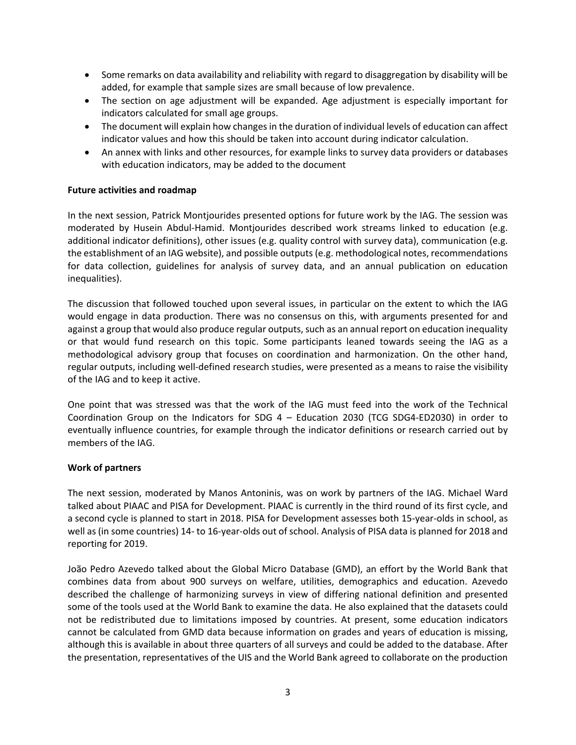- Some remarks on data availability and reliability with regard to disaggregation by disability will be added, for example that sample sizes are small because of low prevalence.
- The section on age adjustment will be expanded. Age adjustment is especially important for indicators calculated for small age groups.
- The document will explain how changes in the duration of individual levels of education can affect indicator values and how this should be taken into account during indicator calculation.
- An annex with links and other resources, for example links to survey data providers or databases with education indicators, may be added to the document

#### **Future activities and roadmap**

In the next session, Patrick Montjourides presented options for future work by the IAG. The session was moderated by Husein Abdul-Hamid. Montjourides described work streams linked to education (e.g. additional indicator definitions), other issues (e.g. quality control with survey data), communication (e.g. the establishment of an IAG website), and possible outputs (e.g. methodological notes, recommendations for data collection, guidelines for analysis of survey data, and an annual publication on education inequalities).

The discussion that followed touched upon several issues, in particular on the extent to which the IAG would engage in data production. There was no consensus on this, with arguments presented for and against a group that would also produce regular outputs, such as an annual report on education inequality or that would fund research on this topic. Some participants leaned towards seeing the IAG as a methodological advisory group that focuses on coordination and harmonization. On the other hand, regular outputs, including well‐defined research studies, were presented as a means to raise the visibility of the IAG and to keep it active.

One point that was stressed was that the work of the IAG must feed into the work of the Technical Coordination Group on the Indicators for SDG 4 – Education 2030 (TCG SDG4‐ED2030) in order to eventually influence countries, for example through the indicator definitions or research carried out by members of the IAG.

# **Work of partners**

The next session, moderated by Manos Antoninis, was on work by partners of the IAG. Michael Ward talked about PIAAC and PISA for Development. PIAAC is currently in the third round of its first cycle, and a second cycle is planned to start in 2018. PISA for Development assesses both 15‐year‐olds in school, as well as (in some countries) 14‐ to 16‐year‐olds out of school. Analysis of PISA data is planned for 2018 and reporting for 2019.

João Pedro Azevedo talked about the Global Micro Database (GMD), an effort by the World Bank that combines data from about 900 surveys on welfare, utilities, demographics and education. Azevedo described the challenge of harmonizing surveys in view of differing national definition and presented some of the tools used at the World Bank to examine the data. He also explained that the datasets could not be redistributed due to limitations imposed by countries. At present, some education indicators cannot be calculated from GMD data because information on grades and years of education is missing, although this is available in about three quarters of all surveys and could be added to the database. After the presentation, representatives of the UIS and the World Bank agreed to collaborate on the production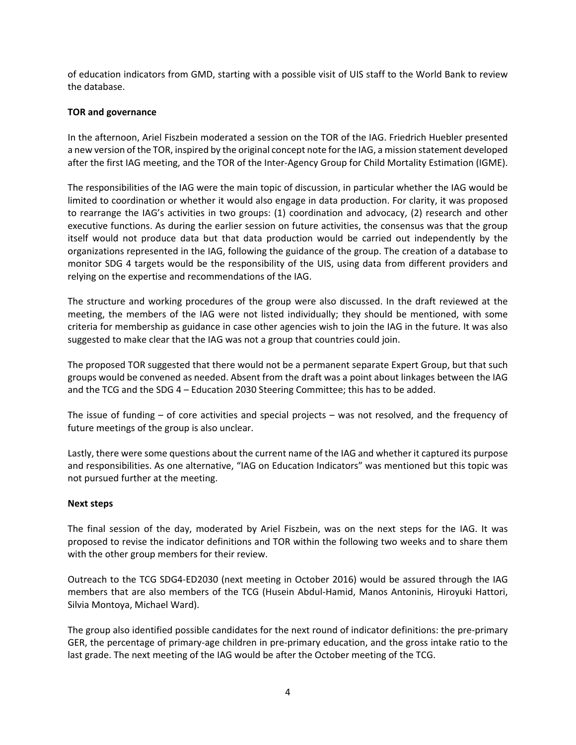of education indicators from GMD, starting with a possible visit of UIS staff to the World Bank to review the database.

# **TOR and governance**

In the afternoon, Ariel Fiszbein moderated a session on the TOR of the IAG. Friedrich Huebler presented a new version of the TOR, inspired by the original concept note for the IAG, a mission statement developed after the first IAG meeting, and the TOR of the Inter-Agency Group for Child Mortality Estimation (IGME).

The responsibilities of the IAG were the main topic of discussion, in particular whether the IAG would be limited to coordination or whether it would also engage in data production. For clarity, it was proposed to rearrange the IAG's activities in two groups: (1) coordination and advocacy, (2) research and other executive functions. As during the earlier session on future activities, the consensus was that the group itself would not produce data but that data production would be carried out independently by the organizations represented in the IAG, following the guidance of the group. The creation of a database to monitor SDG 4 targets would be the responsibility of the UIS, using data from different providers and relying on the expertise and recommendations of the IAG.

The structure and working procedures of the group were also discussed. In the draft reviewed at the meeting, the members of the IAG were not listed individually; they should be mentioned, with some criteria for membership as guidance in case other agencies wish to join the IAG in the future. It was also suggested to make clear that the IAG was not a group that countries could join.

The proposed TOR suggested that there would not be a permanent separate Expert Group, but that such groups would be convened as needed. Absent from the draft was a point about linkages between the IAG and the TCG and the SDG 4 – Education 2030 Steering Committee; this has to be added.

The issue of funding – of core activities and special projects – was not resolved, and the frequency of future meetings of the group is also unclear.

Lastly, there were some questions about the current name of the IAG and whether it captured its purpose and responsibilities. As one alternative, "IAG on Education Indicators" was mentioned but this topic was not pursued further at the meeting.

# **Next steps**

The final session of the day, moderated by Ariel Fiszbein, was on the next steps for the IAG. It was proposed to revise the indicator definitions and TOR within the following two weeks and to share them with the other group members for their review.

Outreach to the TCG SDG4‐ED2030 (next meeting in October 2016) would be assured through the IAG members that are also members of the TCG (Husein Abdul-Hamid, Manos Antoninis, Hiroyuki Hattori, Silvia Montoya, Michael Ward).

The group also identified possible candidates for the next round of indicator definitions: the pre‐primary GER, the percentage of primary‐age children in pre‐primary education, and the gross intake ratio to the last grade. The next meeting of the IAG would be after the October meeting of the TCG.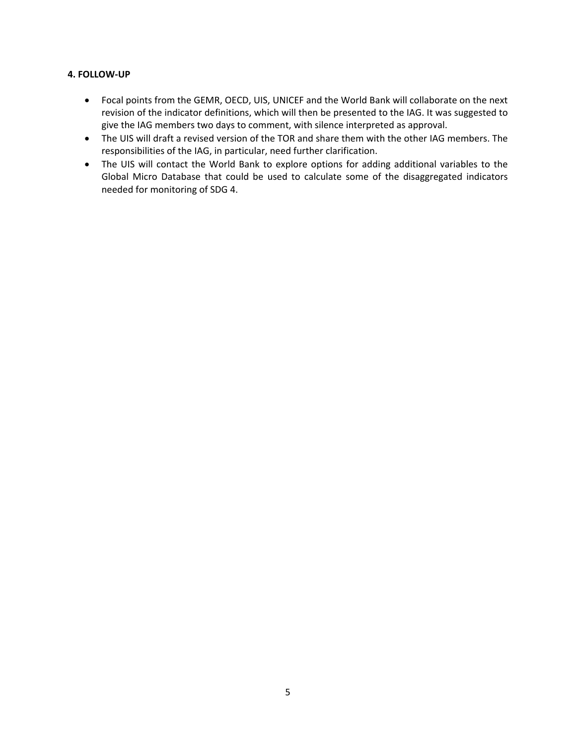# **4. FOLLOW‐UP**

- Focal points from the GEMR, OECD, UIS, UNICEF and the World Bank will collaborate on the next revision of the indicator definitions, which will then be presented to the IAG. It was suggested to give the IAG members two days to comment, with silence interpreted as approval.
- The UIS will draft a revised version of the TOR and share them with the other IAG members. The responsibilities of the IAG, in particular, need further clarification.
- The UIS will contact the World Bank to explore options for adding additional variables to the Global Micro Database that could be used to calculate some of the disaggregated indicators needed for monitoring of SDG 4.